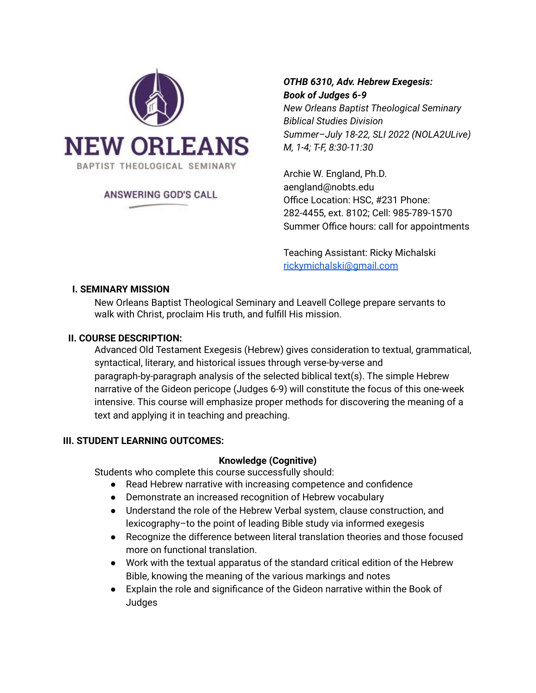

### ANSWERING GOD'S CALL

# *OTHB 6310, Adv. Hebrew Exegesis: Book of Judges 6-9*

*New Orleans Baptist Theological Seminary Biblical Studies Division Summer–July 18-22, SLI 2022 (NOLA2ULive) M, 1-4; T-F, 8:30-11:30*

Archie W. England, Ph.D. aengland@nobts.edu Office Location: HSC, #231 Phone: 282-4455, ext. 8102; Cell: 985-789-1570 Summer Office hours: call for appointments

Teaching Assistant: Ricky Michalski [rickymichalski@gmail.com](mailto:rickymichalski@gmail.com)

### **I. SEMINARY MISSION**

New Orleans Baptist Theological Seminary and Leavell College prepare servants to walk with Christ, proclaim His truth, and fulfill His mission.

### **II. COURSE DESCRIPTION:**

Advanced Old Testament Exegesis (Hebrew) gives consideration to textual, grammatical, syntactical, literary, and historical issues through verse-by-verse and paragraph-by-paragraph analysis of the selected biblical text(s). The simple Hebrew narrative of the Gideon pericope (Judges 6-9) will constitute the focus of this one-week intensive. This course will emphasize proper methods for discovering the meaning of a text and applying it in teaching and preaching.

### **III. STUDENT LEARNING OUTCOMES:**

#### **Knowledge (Cognitive)**

Students who complete this course successfully should:

- Read Hebrew narrative with increasing competence and confidence
- Demonstrate an increased recognition of Hebrew vocabulary
- Understand the role of the Hebrew Verbal system, clause construction, and lexicography–to the point of leading Bible study via informed exegesis
- Recognize the difference between literal translation theories and those focused more on functional translation.
- Work with the textual apparatus of the standard critical edition of the Hebrew Bible, knowing the meaning of the various markings and notes
- Explain the role and significance of the Gideon narrative within the Book of Judges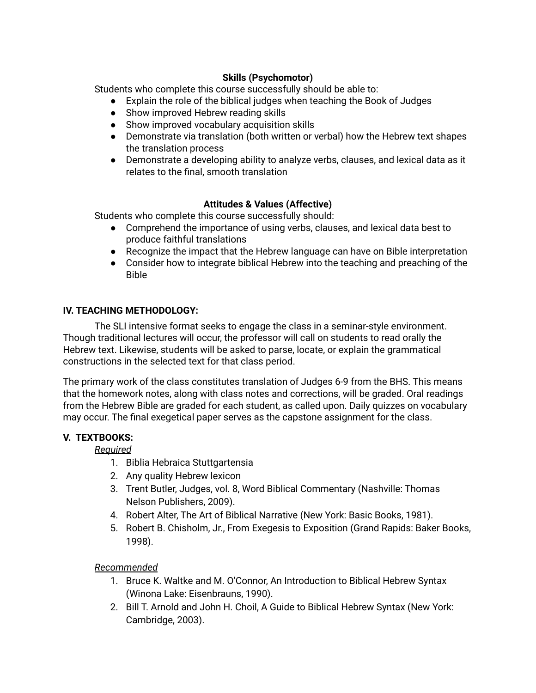### **Skills (Psychomotor)**

Students who complete this course successfully should be able to:

- Explain the role of the biblical judges when teaching the Book of Judges
- Show improved Hebrew reading skills
- Show improved vocabulary acquisition skills
- Demonstrate via translation (both written or verbal) how the Hebrew text shapes the translation process
- Demonstrate a developing ability to analyze verbs, clauses, and lexical data as it relates to the final, smooth translation

## **Attitudes & Values (Affective)**

Students who complete this course successfully should:

- Comprehend the importance of using verbs, clauses, and lexical data best to produce faithful translations
- Recognize the impact that the Hebrew language can have on Bible interpretation
- Consider how to integrate biblical Hebrew into the teaching and preaching of the Bible

## **IV. TEACHING METHODOLOGY:**

The SLI intensive format seeks to engage the class in a seminar-style environment. Though traditional lectures will occur, the professor will call on students to read orally the Hebrew text. Likewise, students will be asked to parse, locate, or explain the grammatical constructions in the selected text for that class period.

The primary work of the class constitutes translation of Judges 6-9 from the BHS. This means that the homework notes, along with class notes and corrections, will be graded. Oral readings from the Hebrew Bible are graded for each student, as called upon. Daily quizzes on vocabulary may occur. The final exegetical paper serves as the capstone assignment for the class.

## **V. TEXTBOOKS:**

*Required*

- 1. Biblia Hebraica Stuttgartensia
- 2. Any quality Hebrew lexicon
- 3. Trent Butler, Judges, vol. 8, Word Biblical Commentary (Nashville: Thomas Nelson Publishers, 2009).
- 4. Robert Alter, The Art of Biblical Narrative (New York: Basic Books, 1981).
- 5. Robert B. Chisholm, Jr., From Exegesis to Exposition (Grand Rapids: Baker Books, 1998).

### *Recommended*

- 1. Bruce K. Waltke and M. O'Connor, An Introduction to Biblical Hebrew Syntax (Winona Lake: Eisenbrauns, 1990).
- 2. Bill T. Arnold and John H. Choil, A Guide to Biblical Hebrew Syntax (New York: Cambridge, 2003).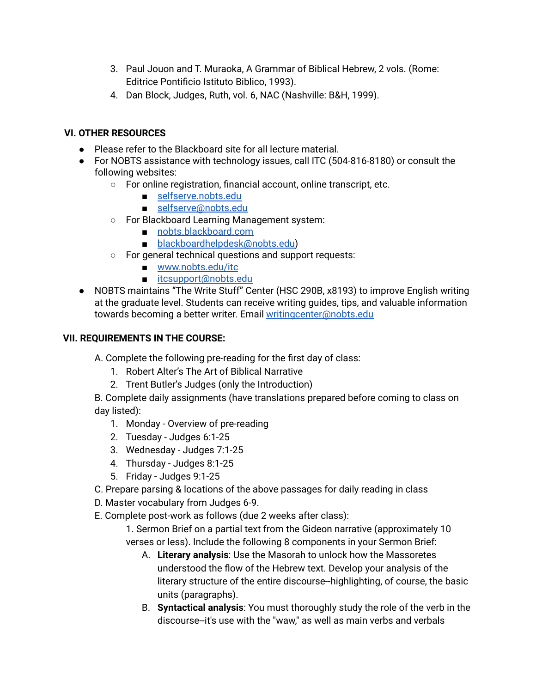- 3. Paul Jouon and T. Muraoka, A Grammar of Biblical Hebrew, 2 vols. (Rome: Editrice Pontificio Istituto Biblico, 1993).
- 4. Dan Block, Judges, Ruth, vol. 6, NAC (Nashville: B&H, 1999).

## **VI. OTHER RESOURCES**

- Please refer to the Blackboard site for all lecture material.
- For NOBTS assistance with technology issues, call ITC (504-816-8180) or consult the following websites:
	- For online registration, financial account, online transcript, etc.
		- [selfserve.nobts.edu](https://selfserve.nobts.edu/)
		- [selfserve@nobts.edu](mailto:selfserve@nobts.edu)
	- For Blackboard Learning Management system:
		- [nobts.blackboard.com](https://nobts.blackboard.com/)
		- [blackboardhelpdesk@nobts.edu\)](mailto:blackboardhelpdesk@nobts.edu)
	- For general technical questions and support requests:
		- [www.nobts.edu/itc](http://www.nobts.edu/itc)
		- [itcsupport@nobts.edu](mailto:itcsupport@nobts.edu)
- NOBTS maintains "The Write Stuff" Center (HSC 290B, x8193) to improve English writing at the graduate level. Students can receive writing guides, tips, and valuable information towards becoming a better writer. Email [writingcenter@nobts.edu](mailto:writingcenter@nobts.edu)

### **VII. REQUIREMENTS IN THE COURSE:**

A. Complete the following pre-reading for the first day of class:

- 1. Robert Alter's The Art of Biblical Narrative
- 2. Trent Butler's Judges (only the Introduction)

B. Complete daily assignments (have translations prepared before coming to class on day listed):

- 1. Monday Overview of pre-reading
- 2. Tuesday Judges 6:1-25
- 3. Wednesday Judges 7:1-25
- 4. Thursday Judges 8:1-25
- 5. Friday Judges 9:1-25
- C. Prepare parsing & locations of the above passages for daily reading in class
- D. Master vocabulary from Judges 6-9.
- E. Complete post-work as follows (due 2 weeks after class):

1. Sermon Brief on a partial text from the Gideon narrative (approximately 10 verses or less). Include the following 8 components in your Sermon Brief:

- A. **Literary analysis**: Use the Masorah to unlock how the Massoretes understood the flow of the Hebrew text. Develop your analysis of the literary structure of the entire discourse--highlighting, of course, the basic units (paragraphs).
- B. **Syntactical analysis**: You must thoroughly study the role of the verb in the discourse--it's use with the "waw," as well as main verbs and verbals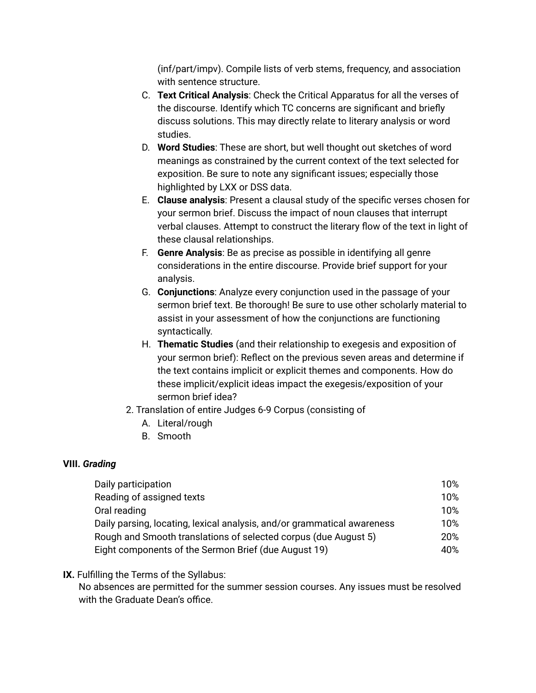(inf/part/impv). Compile lists of verb stems, frequency, and association with sentence structure.

- C. **Text Critical Analysis**: Check the Critical Apparatus for all the verses of the discourse. Identify which TC concerns are significant and briefly discuss solutions. This may directly relate to literary analysis or word studies.
- D. **Word Studies**: These are short, but well thought out sketches of word meanings as constrained by the current context of the text selected for exposition. Be sure to note any significant issues; especially those highlighted by LXX or DSS data.
- E. **Clause analysis**: Present a clausal study of the specific verses chosen for your sermon brief. Discuss the impact of noun clauses that interrupt verbal clauses. Attempt to construct the literary flow of the text in light of these clausal relationships.
- F. **Genre Analysis**: Be as precise as possible in identifying all genre considerations in the entire discourse. Provide brief support for your analysis.
- G. **Conjunctions**: Analyze every conjunction used in the passage of your sermon brief text. Be thorough! Be sure to use other scholarly material to assist in your assessment of how the conjunctions are functioning syntactically.
- H. **Thematic Studies** (and their relationship to exegesis and exposition of your sermon brief): Reflect on the previous seven areas and determine if the text contains implicit or explicit themes and components. How do these implicit/explicit ideas impact the exegesis/exposition of your sermon brief idea?
- 2. Translation of entire Judges 6-9 Corpus (consisting of
	- A. Literal/rough
	- B. Smooth

### **VIII.** *Grading*

| Daily participation                                                     | 10% |  |  |
|-------------------------------------------------------------------------|-----|--|--|
| Reading of assigned texts                                               | 10% |  |  |
| Oral reading                                                            | 10% |  |  |
| Daily parsing, locating, lexical analysis, and/or grammatical awareness |     |  |  |
| Rough and Smooth translations of selected corpus (due August 5)         |     |  |  |
| Eight components of the Sermon Brief (due August 19)                    | 40% |  |  |

### **IX.** Fulfilling the Terms of the Syllabus:

No absences are permitted for the summer session courses. Any issues must be resolved with the Graduate Dean's office.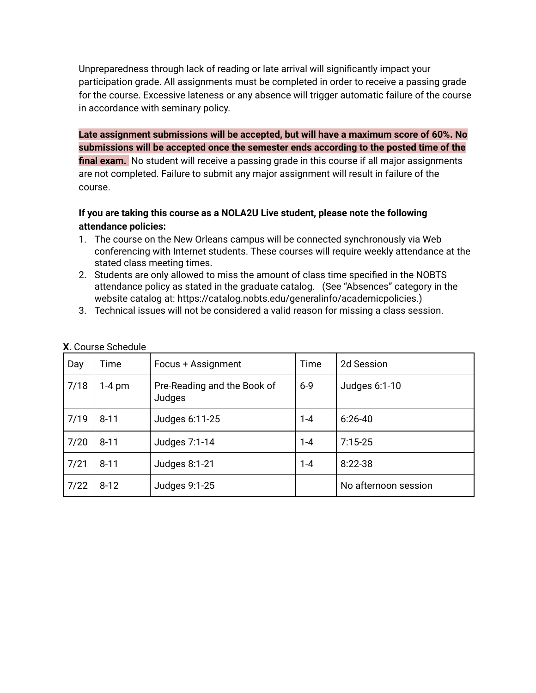Unpreparedness through lack of reading or late arrival will significantly impact your participation grade. All assignments must be completed in order to receive a passing grade for the course. Excessive lateness or any absence will trigger automatic failure of the course in accordance with seminary policy.

**Late assignment submissions will be accepted, but will have a maximum score of 60%. No submissions will be accepted once the semester ends according to the posted time of the final exam.** No student will receive a passing grade in this course if all major assignments are not completed. Failure to submit any major assignment will result in failure of the course.

## **If you are taking this course as a NOLA2U Live student, please note the following attendance policies:**

- 1. The course on the New Orleans campus will be connected synchronously via Web conferencing with Internet students. These courses will require weekly attendance at the stated class meeting times.
- 2. Students are only allowed to miss the amount of class time specified in the NOBTS attendance policy as stated in the graduate catalog. (See "Absences" category in the website catalog at: https://catalog.nobts.edu/generalinfo/academicpolicies.)
- 3. Technical issues will not be considered a valid reason for missing a class session.

| Day  | Time     | Focus + Assignment                    | Time    | 2d Session           |
|------|----------|---------------------------------------|---------|----------------------|
| 7/18 | 1-4 pm   | Pre-Reading and the Book of<br>Judges | $6 - 9$ | Judges 6:1-10        |
| 7/19 | $8 - 11$ | Judges 6:11-25                        | $1 - 4$ | $6:26-40$            |
| 7/20 | $8 - 11$ | Judges 7:1-14                         | $1 - 4$ | $7:15-25$            |
| 7/21 | $8 - 11$ | Judges 8:1-21                         | $1 - 4$ | $8:22-38$            |
| 7/22 | $8 - 12$ | Judges 9:1-25                         |         | No afternoon session |

#### **X**. Course Schedule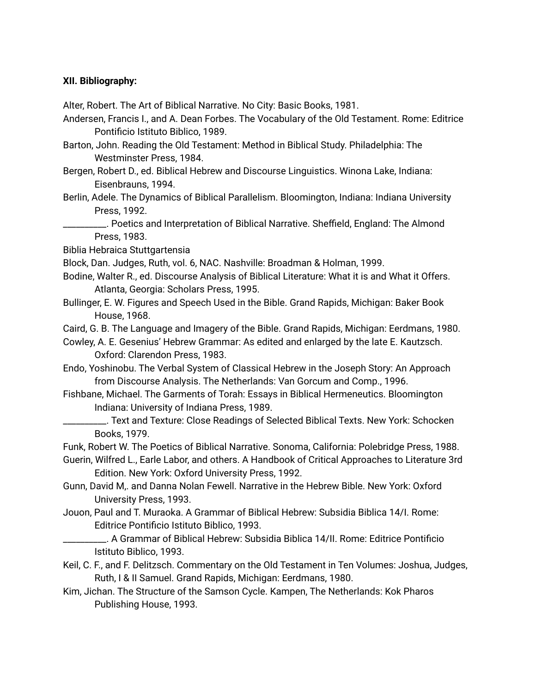#### **XII. Bibliography:**

Alter, Robert. The Art of Biblical Narrative. No City: Basic Books, 1981.

Andersen, Francis I., and A. Dean Forbes. The Vocabulary of the Old Testament. Rome: Editrice Pontificio Istituto Biblico, 1989.

Barton, John. Reading the Old Testament: Method in Biblical Study. Philadelphia: The Westminster Press, 1984.

Bergen, Robert D., ed. Biblical Hebrew and Discourse Linguistics. Winona Lake, Indiana: Eisenbrauns, 1994.

Berlin, Adele. The Dynamics of Biblical Parallelism. Bloomington, Indiana: Indiana University Press, 1992.

\_\_\_\_\_\_\_\_\_\_. Poetics and Interpretation of Biblical Narrative. Sheffield, England: The Almond Press, 1983.

Biblia Hebraica Stuttgartensia

Block, Dan. Judges, Ruth, vol. 6, NAC. Nashville: Broadman & Holman, 1999.

Bodine, Walter R., ed. Discourse Analysis of Biblical Literature: What it is and What it Offers. Atlanta, Georgia: Scholars Press, 1995.

Bullinger, E. W. Figures and Speech Used in the Bible. Grand Rapids, Michigan: Baker Book House, 1968.

Caird, G. B. The Language and Imagery of the Bible. Grand Rapids, Michigan: Eerdmans, 1980.

Cowley, A. E. Gesenius' Hebrew Grammar: As edited and enlarged by the late E. Kautzsch. Oxford: Clarendon Press, 1983.

Endo, Yoshinobu. The Verbal System of Classical Hebrew in the Joseph Story: An Approach from Discourse Analysis. The Netherlands: Van Gorcum and Comp., 1996.

- Fishbane, Michael. The Garments of Torah: Essays in Biblical Hermeneutics. Bloomington Indiana: University of Indiana Press, 1989.
- \_\_\_\_\_\_\_\_\_\_. Text and Texture: Close Readings of Selected Biblical Texts. New York: Schocken Books, 1979.

Funk, Robert W. The Poetics of Biblical Narrative. Sonoma, California: Polebridge Press, 1988.

Guerin, Wilfred L., Earle Labor, and others. A Handbook of Critical Approaches to Literature 3rd Edition. New York: Oxford University Press, 1992.

Gunn, David M,. and Danna Nolan Fewell. Narrative in the Hebrew Bible. New York: Oxford University Press, 1993.

Jouon, Paul and T. Muraoka. A Grammar of Biblical Hebrew: Subsidia Biblica 14/I. Rome: Editrice Pontificio Istituto Biblico, 1993.

\_\_\_\_\_\_\_\_\_\_. A Grammar of Biblical Hebrew: Subsidia Biblica 14/II. Rome: Editrice Pontificio Istituto Biblico, 1993.

Keil, C. F., and F. Delitzsch. Commentary on the Old Testament in Ten Volumes: Joshua, Judges, Ruth, I & II Samuel. Grand Rapids, Michigan: Eerdmans, 1980.

Kim, Jichan. The Structure of the Samson Cycle. Kampen, The Netherlands: Kok Pharos Publishing House, 1993.